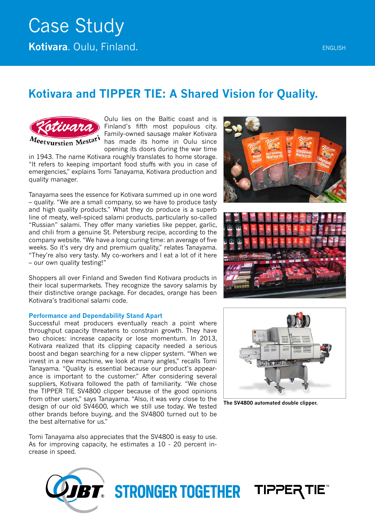# Case Study **Kotivara**. Oulu, Finland. **Englisher Continues and Continues and Continues and Continues and Continues and Continues**

### **Kotivara and TIPPER TIE: A Shared Vision for Quality.**



Oulu lies on the Baltic coast and is Finland's fifth most populous city. Family-owned sausage maker Kotivara has made its home in Oulu since opening its doors during the war time

in 1943. The name Kotivara roughly translates to home storage. "It refers to keeping important food stuffs with you in case of emergencies," explains Tomi Tanayama, Kotivara production and quality manager.

Tanayama sees the essence for Kotivara summed up in one word – quality. "We are a small company, so we have to produce tasty and high quality products." What they do produce is a superb line of meaty, well-spiced salami products, particularly so-called "Russian" salami. They offer many varieties like pepper, garlic, and chili from a genuine St. Petersburg recipe, according to the company website. "We have a long curing time: an average of five weeks. So it's very dry and premium quality," relates Tanayama. "They're also very tasty. My co-workers and I eat a lot of it here – our own quality testing!"

Shoppers all over Finland and Sweden find Kotivara products in their local supermarkets. They recognize the savory salamis by their distinctive orange package. For decades, orange has been Kotivara's traditional salami code.

#### **Performance and Dependability Stand Apart**

Successful meat producers eventually reach a point where throughput capacity threatens to constrain growth. They have two choices: increase capacity or lose momentum. In 2013, Kotivara realized that its clipping capacity needed a serious boost and began searching for a new clipper system. "When we invest in a new machine, we look at many angles," recalls Tomi Tanayama. "Quality is essential because our product's appearance is important to the customer." After considering several suppliers, Kotivara followed the path of familiarity. "We chose the TIPPER TIE SV4800 clipper because of the good opinions from other users," says Tanayama. "Also, it was very close to the design of our old SV4600, which we still use today. We tested other brands before buying, and the SV4800 turned out to be the best alternative for us."

Tomi Tanayama also appreciates that the SV4800 is easy to use. As for improving capacity, he estimates a 10 - 20 percent increase in speed.









**The SV4800 automated double clipper.**